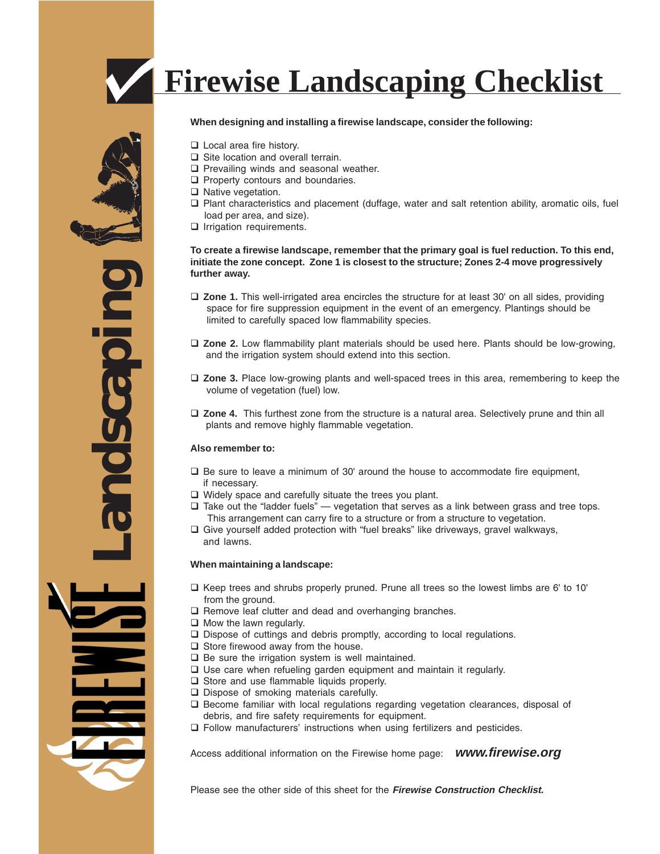

## **When designing and installing a firewise landscape, consider the following:**

- **L** Local area fire history.
- $\Box$  Site location and overall terrain.
- $\Box$  Prevailing winds and seasonal weather.
- $\Box$  Property contours and boundaries.
- $\Box$  Native vegetation.
- $\Box$  Plant characteristics and placement (duffage, water and salt retention ability, aromatic oils, fuel load per area, and size).
- $\Box$  Irrigation requirements.

### **To create a firewise landscape, remember that the primary goal is fuel reduction. To this end, initiate the zone concept. Zone 1 is closest to the structure; Zones 2-4 move progressively further away.**

- **Zone 1.** This well-irrigated area encircles the structure for at least 30' on all sides, providing space for fire suppression equipment in the event of an emergency. Plantings should be limited to carefully spaced low flammability species.
- **Zone 2.** Low flammability plant materials should be used here. Plants should be low-growing, and the irrigation system should extend into this section.
- **Zone 3.** Place low-growing plants and well-spaced trees in this area, remembering to keep the volume of vegetation (fuel) low.
- **Zone 4.** This furthest zone from the structure is a natural area. Selectively prune and thin all plants and remove highly flammable vegetation.

## **Also remember to:**

- $\Box$  Be sure to leave a minimum of 30' around the house to accommodate fire equipment, if necessary.
- $\Box$  Widely space and carefully situate the trees you plant.
- $\square$  Take out the "ladder fuels" vegetation that serves as a link between grass and tree tops. This arrangement can carry fire to a structure or from a structure to vegetation.
- $\square$  Give yourself added protection with "fuel breaks" like driveways, gravel walkways, and lawns.

#### **When maintaining a landscape:**

- $\Box$  Keep trees and shrubs properly pruned. Prune all trees so the lowest limbs are 6' to 10' from the ground.
- $\square$  Remove leaf clutter and dead and overhanging branches.
- $\Box$  Mow the lawn regularly.
- □ Dispose of cuttings and debris promptly, according to local regulations.
- $\Box$  Store firewood away from the house.
- $\Box$  Be sure the irrigation system is well maintained.
- $\square$  Use care when refueling garden equipment and maintain it regularly.
- $\Box$  Store and use flammable liquids properly.
- □ Dispose of smoking materials carefully.
- $\square$  Become familiar with local regulations regarding vegetation clearances, disposal of debris, and fire safety requirements for equipment.
- Follow manufacturers' instructions when using fertilizers and pesticides.

Access additional information on the Firewise home page: **www.firewise.org**

Please see the other side of this sheet for the **Firewise Construction Checklist.**



ndscapin